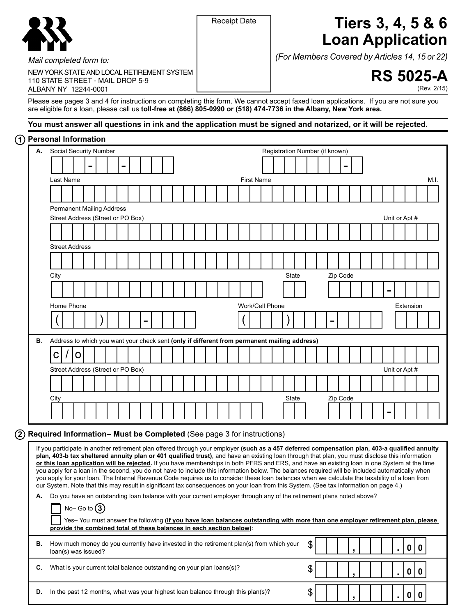|--|

# Receipt Date **Tiers 3, 4, 5 & 6 Loan Application**

*(For Members Covered by Articles 14, 15 or 22)*

 $\text{\$\blacksquare$}\begin{array}{|c|c|c|c|}\hline \text{\small{}} & \text{\small{}} & \text{\small{}} & \text{\small{}} & \text{\small{}} & \text{\small{}} & \text{\small{}} & \text{\small{}} & \text{\small{}} & \text{\small{}} & \text{\small{}} & \text{\small{}} & \text{\small{}} & \text{\small{}} & \text{\small{}} & \text{\small{}} & \text{\small{}} & \text{\small{}} & \text{\small{}} & \text{\small{}} & \text{\small{}} & \text{\small{}} & \text{\small{}} & \text{\small{}} & \text{\small{}} & \text{\small{}} & \text{\small{}} & \text{\small{}} &$ 

 $\text{\$\blacksquare$}\begin{array}{|c|c|c|c|}\hline \text{\small{}} & \text{\small{}} & \text{\small{}} & \text{\small{}} & \text{\small{}} & \text{\small{}} & \text{\small{}} & \text{\small{}} & \text{\small{}} & \text{\small{}} & \text{\small{}} & \text{\small{}} & \text{\small{}} & \text{\small{}} & \text{\small{}} & \text{\small{}} & \text{\small{}} & \text{\small{}} & \text{\small{}} & \text{\small{}} & \text{\small{}} & \text{\small{}} & \text{\small{}} & \text{\small{}} & \text{\small{}} & \text{\small{}} & \text{\small{}} & \text{\small{}} &$ 



(Rev. 2/15)

110 STATE STREET - MAIL DROP 5-9 aLBaNY NY 12244-0001 Please see pages 3 and 4 for instructions on completing this form. We cannot accept faxed loan applications. If you are not sure you

are eligible for a loan, please call us **toll-free at (866) 805-0990 or (518) 474-7736 in the Albany, New York area.**

## **You must answer all questions in ink and the application must be signed and notarized, or it will be rejected.**

## **1 Personal Information**

*Mail completed form to:*

NEW YORK STATE AND LOCAL RETIREMENT SYSTEM

| <b>I</b> VIJUIMI IIIIUIIIIUIU<br>А.                                  | Social Security Number                                                                                                                                                                                                                                                                             |                   |   |  |  |  |  |                                   |  |  |  |  |  |  |                                                                                                                     | Registration Number (if known) |              |  |  |          |  |  |               |           |                                                                                                                                                |
|----------------------------------------------------------------------|----------------------------------------------------------------------------------------------------------------------------------------------------------------------------------------------------------------------------------------------------------------------------------------------------|-------------------|---|--|--|--|--|-----------------------------------|--|--|--|--|--|--|---------------------------------------------------------------------------------------------------------------------|--------------------------------|--------------|--|--|----------|--|--|---------------|-----------|------------------------------------------------------------------------------------------------------------------------------------------------|
|                                                                      |                                                                                                                                                                                                                                                                                                    |                   |   |  |  |  |  |                                   |  |  |  |  |  |  |                                                                                                                     |                                |              |  |  |          |  |  |               |           |                                                                                                                                                |
|                                                                      |                                                                                                                                                                                                                                                                                                    |                   |   |  |  |  |  |                                   |  |  |  |  |  |  |                                                                                                                     |                                |              |  |  |          |  |  |               |           |                                                                                                                                                |
|                                                                      | Last Name                                                                                                                                                                                                                                                                                          |                   |   |  |  |  |  |                                   |  |  |  |  |  |  | <b>First Name</b>                                                                                                   |                                |              |  |  |          |  |  |               |           | M.I.                                                                                                                                           |
|                                                                      |                                                                                                                                                                                                                                                                                                    |                   |   |  |  |  |  |                                   |  |  |  |  |  |  |                                                                                                                     |                                |              |  |  |          |  |  |               |           |                                                                                                                                                |
|                                                                      | <b>Permanent Mailing Address</b>                                                                                                                                                                                                                                                                   |                   |   |  |  |  |  |                                   |  |  |  |  |  |  |                                                                                                                     |                                |              |  |  |          |  |  |               |           |                                                                                                                                                |
|                                                                      |                                                                                                                                                                                                                                                                                                    |                   |   |  |  |  |  | Street Address (Street or PO Box) |  |  |  |  |  |  |                                                                                                                     |                                |              |  |  |          |  |  | Unit or Apt # |           |                                                                                                                                                |
|                                                                      |                                                                                                                                                                                                                                                                                                    |                   |   |  |  |  |  |                                   |  |  |  |  |  |  |                                                                                                                     |                                |              |  |  |          |  |  |               |           |                                                                                                                                                |
|                                                                      | <b>Street Address</b>                                                                                                                                                                                                                                                                              |                   |   |  |  |  |  |                                   |  |  |  |  |  |  |                                                                                                                     |                                |              |  |  |          |  |  |               |           |                                                                                                                                                |
|                                                                      |                                                                                                                                                                                                                                                                                                    |                   |   |  |  |  |  |                                   |  |  |  |  |  |  |                                                                                                                     |                                |              |  |  |          |  |  |               |           |                                                                                                                                                |
|                                                                      | City                                                                                                                                                                                                                                                                                               |                   |   |  |  |  |  |                                   |  |  |  |  |  |  |                                                                                                                     |                                | <b>State</b> |  |  | Zip Code |  |  |               |           |                                                                                                                                                |
|                                                                      |                                                                                                                                                                                                                                                                                                    |                   |   |  |  |  |  |                                   |  |  |  |  |  |  |                                                                                                                     |                                |              |  |  |          |  |  |               |           |                                                                                                                                                |
|                                                                      |                                                                                                                                                                                                                                                                                                    |                   |   |  |  |  |  |                                   |  |  |  |  |  |  |                                                                                                                     |                                |              |  |  |          |  |  |               |           |                                                                                                                                                |
|                                                                      | Home Phone                                                                                                                                                                                                                                                                                         |                   |   |  |  |  |  |                                   |  |  |  |  |  |  | Work/Cell Phone                                                                                                     |                                |              |  |  |          |  |  |               | Extension |                                                                                                                                                |
|                                                                      |                                                                                                                                                                                                                                                                                                    |                   |   |  |  |  |  |                                   |  |  |  |  |  |  |                                                                                                                     |                                |              |  |  |          |  |  |               |           |                                                                                                                                                |
| В.                                                                   |                                                                                                                                                                                                                                                                                                    |                   |   |  |  |  |  |                                   |  |  |  |  |  |  | Address to which you want your check sent (only if different from permanent mailing address)                        |                                |              |  |  |          |  |  |               |           |                                                                                                                                                |
|                                                                      | С                                                                                                                                                                                                                                                                                                  |                   | 0 |  |  |  |  |                                   |  |  |  |  |  |  |                                                                                                                     |                                |              |  |  |          |  |  |               |           |                                                                                                                                                |
|                                                                      |                                                                                                                                                                                                                                                                                                    |                   |   |  |  |  |  | Street Address (Street or PO Box) |  |  |  |  |  |  |                                                                                                                     |                                |              |  |  |          |  |  | Unit or Apt # |           |                                                                                                                                                |
|                                                                      |                                                                                                                                                                                                                                                                                                    |                   |   |  |  |  |  |                                   |  |  |  |  |  |  |                                                                                                                     |                                |              |  |  |          |  |  |               |           |                                                                                                                                                |
|                                                                      | City                                                                                                                                                                                                                                                                                               |                   |   |  |  |  |  |                                   |  |  |  |  |  |  |                                                                                                                     |                                | State        |  |  | Zip Code |  |  |               |           |                                                                                                                                                |
|                                                                      |                                                                                                                                                                                                                                                                                                    |                   |   |  |  |  |  |                                   |  |  |  |  |  |  |                                                                                                                     |                                |              |  |  |          |  |  |               |           |                                                                                                                                                |
|                                                                      |                                                                                                                                                                                                                                                                                                    |                   |   |  |  |  |  |                                   |  |  |  |  |  |  |                                                                                                                     |                                |              |  |  |          |  |  |               |           |                                                                                                                                                |
| Required Information-Must be Completed (See page 3 for instructions) |                                                                                                                                                                                                                                                                                                    |                   |   |  |  |  |  |                                   |  |  |  |  |  |  |                                                                                                                     |                                |              |  |  |          |  |  |               |           |                                                                                                                                                |
|                                                                      | plan, 403-b tax sheltered annuity plan or 401 qualified trust), and have an existing loan through that plan, you must disclose this information                                                                                                                                                    |                   |   |  |  |  |  |                                   |  |  |  |  |  |  |                                                                                                                     |                                |              |  |  |          |  |  |               |           | If you participate in another retirement plan offered through your employer (such as a 457 deferred compensation plan, 403-a qualified annuity |
|                                                                      | or this loan application will be rejected. If you have memberships in both PFRS and ERS, and have an existing loan in one System at the time                                                                                                                                                       |                   |   |  |  |  |  |                                   |  |  |  |  |  |  |                                                                                                                     |                                |              |  |  |          |  |  |               |           |                                                                                                                                                |
|                                                                      | you apply for a loan in the second, you do not have to include this information below. The balances required will be included automatically when<br>you apply for your loan. The Internal Revenue Code requires us to consider these loan balances when we calculate the taxability of a loan from |                   |   |  |  |  |  |                                   |  |  |  |  |  |  |                                                                                                                     |                                |              |  |  |          |  |  |               |           |                                                                                                                                                |
|                                                                      | our System. Note that this may result in significant tax consequences on your loan from this System. (See tax information on page 4.)                                                                                                                                                              |                   |   |  |  |  |  |                                   |  |  |  |  |  |  |                                                                                                                     |                                |              |  |  |          |  |  |               |           |                                                                                                                                                |
| А.                                                                   |                                                                                                                                                                                                                                                                                                    |                   |   |  |  |  |  |                                   |  |  |  |  |  |  | Do you have an outstanding loan balance with your current employer through any of the retirement plans noted above? |                                |              |  |  |          |  |  |               |           |                                                                                                                                                |
|                                                                      |                                                                                                                                                                                                                                                                                                    | No-Go to $\Omega$ |   |  |  |  |  |                                   |  |  |  |  |  |  |                                                                                                                     |                                |              |  |  |          |  |  |               |           |                                                                                                                                                |
|                                                                      |                                                                                                                                                                                                                                                                                                    |                   |   |  |  |  |  |                                   |  |  |  |  |  |  |                                                                                                                     |                                |              |  |  |          |  |  |               |           | Yes-You must answer the following (If you have loan balances outstanding with more than one employer retirement plan, please                   |

|    | provide the combined total of these balances in each section below):                                           |              |  |  |  |  |  |  |
|----|----------------------------------------------------------------------------------------------------------------|--------------|--|--|--|--|--|--|
| В. | How much money do you currently have invested in the retirement plan(s) from which your<br>loan(s) was issued? | $\mathbb{R}$ |  |  |  |  |  |  |

**C.** What is your current total balance outstanding on your plan loans(s)?

**D.** In the past 12 months, what was your highest loan balance through this plan(s)?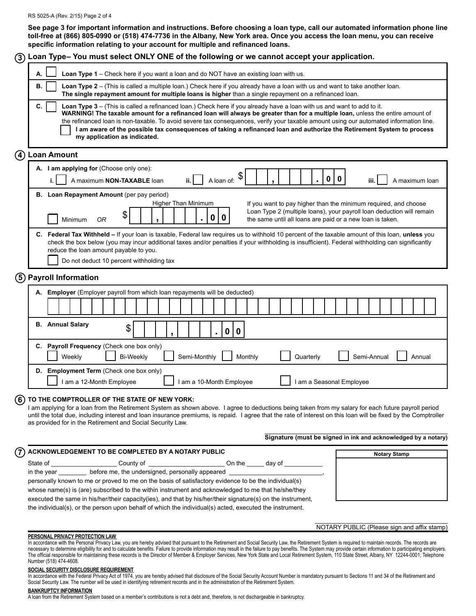#### RS 5025-A (Rev. 2/15) Page 2 of 4

**See page 3 for important information and instructions. Before choosing a loan type, call our automated information phone line toll-free at (866) 805-0990 or (518) 474-7736 in the Albany, New York area. once you access the loan menu, you can receive specific information relating to your account for multiple and refinanced loans.**

| $\left( 3\right)$ | Loan Type-You must select ONLY ONE of the following or we cannot accept your application.                                                                                                                                                                                                                                                                                                                                                                                                                                                                          |
|-------------------|--------------------------------------------------------------------------------------------------------------------------------------------------------------------------------------------------------------------------------------------------------------------------------------------------------------------------------------------------------------------------------------------------------------------------------------------------------------------------------------------------------------------------------------------------------------------|
|                   | Loan Type 1 - Check here if you want a loan and do NOT have an existing loan with us.<br>А.                                                                                                                                                                                                                                                                                                                                                                                                                                                                        |
|                   | В.<br>Loan Type 2 – (This is called a multiple loan.) Check here if you already have a loan with us and want to take another loan.<br>The single repayment amount for multiple loans is higher than a single repayment on a refinanced loan.                                                                                                                                                                                                                                                                                                                       |
|                   | C.<br>Loan Type 3 - (This is called a refinanced loan.) Check here if you already have a loan with us and want to add to it.<br>WARNING! The taxable amount for a refinanced loan will always be greater than for a multiple loan, unless the entire amount of<br>the refinanced loan is non-taxable. To avoid severe tax consequences, verify your taxable amount using our automated information line.<br>I am aware of the possible tax consequences of taking a refinanced loan and authorize the Retirement System to process<br>my application as indicated. |
| $\left( 4\right)$ | <b>Loan Amount</b>                                                                                                                                                                                                                                                                                                                                                                                                                                                                                                                                                 |
|                   | A. I am applying for (Choose only one):                                                                                                                                                                                                                                                                                                                                                                                                                                                                                                                            |
|                   | \$<br>$\mathbf 0$<br>$\mathbf 0$<br>A loan of:<br>A maximum NON-TAXABLE loan<br>ii.<br>iii.<br>A maximum loan<br>i.                                                                                                                                                                                                                                                                                                                                                                                                                                                |
|                   | B. Loan Repayment Amount (per pay period)<br>Higher Than Minimum<br>If you want to pay higher than the minimum required, and choose                                                                                                                                                                                                                                                                                                                                                                                                                                |
|                   | Loan Type 2 (multiple loans), your payroll loan deduction will remain<br>\$<br>$\mathbf 0$<br>0<br>Minimum<br>the same until all loans are paid or a new loan is taken.<br><b>OR</b>                                                                                                                                                                                                                                                                                                                                                                               |
|                   | C. Federal Tax Withheld - If your loan is taxable, Federal law requires us to withhold 10 percent of the taxable amount of this loan, unless you<br>check the box below (you may incur additional taxes and/or penalties if your withholding is insufficient). Federal withholding can significantly<br>reduce the loan amount payable to you.<br>Do not deduct 10 percent withholding tax                                                                                                                                                                         |
|                   | (5) Payroll Information                                                                                                                                                                                                                                                                                                                                                                                                                                                                                                                                            |
|                   | A. Employer (Employer payroll from which loan repayments will be deducted)                                                                                                                                                                                                                                                                                                                                                                                                                                                                                         |
|                   |                                                                                                                                                                                                                                                                                                                                                                                                                                                                                                                                                                    |
|                   | <b>B.</b> Annual Salary<br>\$<br>0<br>$\mathbf 0$                                                                                                                                                                                                                                                                                                                                                                                                                                                                                                                  |
|                   | C. Payroll Frequency (Check one box only)<br>Semi-Monthly<br>Weekly<br><b>Bi-Weekly</b><br>Monthly<br>Quarterly<br>Semi-Annual<br>Annual                                                                                                                                                                                                                                                                                                                                                                                                                           |
|                   | D. Employment Term (Check one box only)<br>I am a 10-Month Employee<br>I am a Seasonal Employee<br>I am a 12-Month Employee                                                                                                                                                                                                                                                                                                                                                                                                                                        |
| 6)                | TO THE COMPTROLLER OF THE STATE OF NEW YORK:<br>I am applying for a loan from the Retirement System as shown above. I agree to deductions being taken from my salary for each future payroll period<br>until the total due, including interest and loan insurance premiums, is repaid. I agree that the rate of interest on this loan will be fixed by the Comptroller<br>as provided for in the Retirement and Social Security Law.                                                                                                                               |
|                   | Signature (must be signed in ink and acknowledged by a notary)                                                                                                                                                                                                                                                                                                                                                                                                                                                                                                     |
|                   | ACKNOWLEDGEMENT TO BE COMPLETED BY A NOTARY PUBLIC<br><b>Notary Stamp</b>                                                                                                                                                                                                                                                                                                                                                                                                                                                                                          |
|                   |                                                                                                                                                                                                                                                                                                                                                                                                                                                                                                                                                                    |
|                   | in the year __________ before me, the undersigned, personally appeared _____________________________                                                                                                                                                                                                                                                                                                                                                                                                                                                               |
|                   | personally known to me or proved to me on the basis of satisfactory evidence to be the individual(s)<br>whose name(s) is (are) subscribed to the within instrument and acknowledged to me that he/she/they                                                                                                                                                                                                                                                                                                                                                         |
|                   | executed the same in his/her/their capacity (ies), and that by his/her/their signature(s) on the instrument,                                                                                                                                                                                                                                                                                                                                                                                                                                                       |
|                   | the individual(s), or the person upon behalf of which the individual(s) acted, executed the instrument.                                                                                                                                                                                                                                                                                                                                                                                                                                                            |
|                   | NOTARY PUBLIC (Please sign and affix stamp)                                                                                                                                                                                                                                                                                                                                                                                                                                                                                                                        |
|                   | PERSONAL PRIVACY PROTECTION LAW<br>In accordance with the Personal Privacy Law, you are hereby advised that pursuant to the Retirement and Social Security Law, the Retirement System is required to maintain records. The records are                                                                                                                                                                                                                                                                                                                             |

In accordance with the Personal Privacy Law, you are hereby advised that pursuant to the Retirement and Social Security Law, the Retirement System is required to maintain records. The records are necessary to determine eligibility for and to calculate benefits. Failure to provide information may result in the failure to pay benefits. The System may provide certain information to participating employers. The official responsible for maintaining these records is the Director of Member & Employer Services, New York State and Local Retirement System, 110 State Street, Albany, NY 12244-0001; Telephone Number (518) 474-4608.

**SOCIAL SECURITY DISCLOSURE REQUIREMENT**

In accordance with the Federal Privacy Act of 1974, you are hereby advised that disclosure of the Social Security Account Number is mandatory pursuant to Sections 11 and 34 of the Retirement and Social Security Law. The number will be used in identifying retirement records and in the administration of the Retirement System.

**BANKRUPTCY INFORMATION**

A loan from the Retirement System based on a member's contributions is not a debt and, therefore, is not dischargeable in bankruptcy.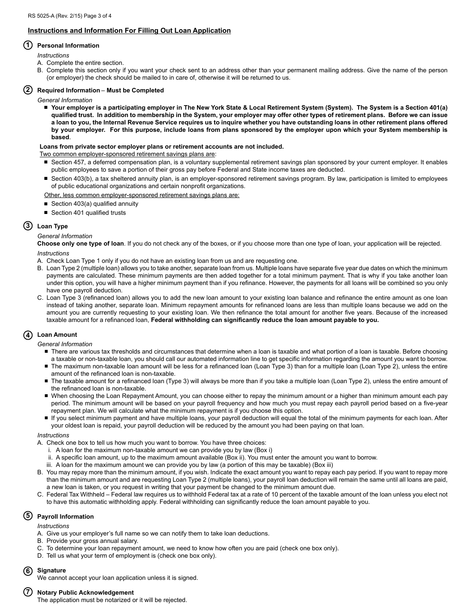## **Instructions and Information For Filling Out Loan Application**

## **1 Personal Information**

*Instructions*

- A. Complete the entire section.
- B. Complete this section only if you want your check sent to an address other than your permanent mailing address. Give the name of the person (or employer) the check should be mailed to in care of, otherwise it will be returned to us.

## **2 Required Information** – **Must be Completed**

- *General Information*
	- Your employer is a participating employer in The New York State & Local Retirement System (System). The System is a Section 401(a) **qualified trust. In addition to membership in the System, your employer may offer other types of retirement plans. Before we can issue a loan to you, the Internal Revenue Service requires us to inquire whether you have outstanding loans in other retirement plans offered by your employer. For this purpose, include loans from plans sponsored by the employer upon which your System membership is based**.

#### **Loans from private sector employer plans or retirement accounts are not included.**

Two common employer-sponsored retirement savings plans are:

- Section 457, a deferred compensation plan, is a voluntary supplemental retirement savings plan sponsored by your current employer. It enables public employees to save a portion of their gross pay before Federal and State income taxes are deducted.
- Section 403(b), a tax sheltered annuity plan, is an employer-sponsored retirement savings program. By law, participation is limited to employees of public educational organizations and certain nonprofit organizations.

Other, less common employer-sponsored retirement savings plans are:

- Section 403(a) qualified annuity
- Section 401 qualified trusts

## **3 Loan Type**

## *General Information*

**Choose only one type of loan**. If you do not check any of the boxes, or if you choose more than one type of loan, your application will be rejected. *Instructions*

- A. Check Loan Type 1 only if you do not have an existing loan from us and are requesting one.
- B. Loan Type 2 (multiple loan) allows you to take another, separate loan from us. Multiple loans have separate five year due dates on which the minimum payments are calculated. These minimum payments are then added together for a total minimum payment. That is why if you take another loan under this option, you will have a higher minimum payment than if you refinance. However, the payments for all loans will be combined so you only have one payroll deduction.
- C. Loan Type 3 (refinanced loan) allows you to add the new loan amount to your existing loan balance and refinance the entire amount as one loan instead of taking another, separate loan. Minimum repayment amounts for refinanced loans are less than multiple loans because we add on the amount you are currently requesting to your existing loan. We then refinance the total amount for another five years. Because of the increased taxable amount for a refinanced loan, **Federal withholding can significantly reduce the loan amount payable to you.**

## **4 Loan Amount**

- *General Information*
	- There are various tax thresholds and circumstances that determine when a loan is taxable and what portion of a loan is taxable. Before choosing a taxable or non-taxable loan, you should call our automated information line to get specific information regarding the amount you want to borrow.
	- The maximum non-taxable loan amount will be less for a refinanced loan (Loan Type 3) than for a multiple loan (Loan Type 2), unless the entire amount of the refinanced loan is non-taxable.
	- The taxable amount for a refinanced loan (Type 3) will always be more than if you take a multiple loan (Loan Type 2), unless the entire amount of the refinanced loan is non-taxable.
	- When choosing the Loan Repayment Amount, you can choose either to repay the minimum amount or a higher than minimum amount each pay period. The minimum amount will be based on your payroll frequency and how much you must repay each payroll period based on a five-year repayment plan. We will calculate what the minimum repayment is if you choose this option.
	- If you select minimum payment and have multiple loans, your payroll deduction will equal the total of the minimum payments for each loan. After your oldest loan is repaid, your payroll deduction will be reduced by the amount you had been paying on that loan.

#### *Instructions*

- A. Check one box to tell us how much you want to borrow. You have three choices:
	- i. A loan for the maximum non-taxable amount we can provide you by law (Box i)
	- ii. A specific loan amount, up to the maximum amount available (Box ii). You must enter the amount you want to borrow.
	- iii. A loan for the maximum amount we can provide you by law (a portion of this may be taxable) (Box iii)
- B. You may repay more than the minimum amount, if you wish. Indicate the exact amount you want to repay each pay period. If you want to repay more than the minimum amount and are requesting Loan Type 2 (multiple loans), your payroll loan deduction will remain the same until all loans are paid, a new loan is taken, or you request in writing that your payment be changed to the minimum amount due.
- C. Federal Tax Withheld Federal law requires us to withhold Federal tax at a rate of 10 percent of the taxable amount of the loan unless you elect not to have this automatic withholding apply. Federal withholding can significantly reduce the loan amount payable to you.

## **5 Payroll Information**

*Instructions*

- A. Give us your employer's full name so we can notify them to take loan deductions.
- B. Provide your gross annual salary.
- C. To determine your loan repayment amount, we need to know how often you are paid (check one box only).
- D. Tell us what your term of employment is (check one box only).

## **6 Signature**

We cannot accept your loan application unless it is signed.

## **7 Notary Public Acknowledgement**

The application must be notarized or it will be rejected.